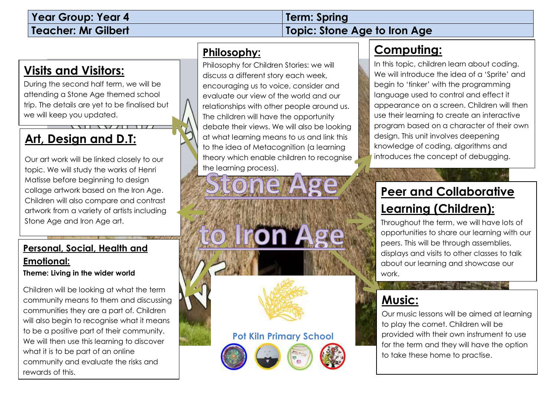# **Year Group: Year 4 Term: Spring**

# **Teacher: Mr Gilbert Topic: Stone Age to Iron Age**

## **Visits and Visitors:**

During the second half term, we will be attending a Stone Age themed school trip. The details are yet to be finalised but we will keep you updated.

# **Art, Design and D.T:**

Our art work will be linked closely to our topic. We will study the works of Henri Matisse before beginning to design collage artwork based on the Iron Age. Children will also compare and contrast artwork from a variety of artists including Stone Age and Iron Age art.

#### **Personal, Social, Health and Emotional:**

**Theme: Living in the wider world**

Children will be looking at what the term community means to them and discussing communities they are a part of. Children will also begin to recognise what it means to be a positive part of their community. We will then use this learning to discover what it is to be part of an online community and evaluate the risks and rewards of this.

### **Philosophy:**

Philosophy for Children Stories: we will discuss a different story each week, encouraging us to voice, consider and evaluate our view of the world and our relationships with other people around us. The children will have the opportunity debate their views. We will also be looking at what learning means to us and link this to the idea of Metacognition (a learning theory which enable children to recognise the learning process).

**Pot Kiln Primary School**

# **Computing:**

In this topic, children learn about coding. We will introduce the idea of a 'Sprite' and begin to 'tinker' with the programming language used to control and effect it appearance on a screen. Children will then use their learning to create an interactive program based on a character of their own design. This unit involves deepening knowledge of coding, algorithms and introduces the concept of debugging.

# **Peer and Collaborative Learning (Children):**

Throughout the term, we will have lots of opportunities to share our learning with our peers. This will be through assemblies, displays and visits to other classes to talk about our learning and showcase our work.

### **Music:**

Our music lessons will be aimed at learning to play the cornet. Children will be provided with their own instrument to use for the term and they will have the option to take these home to practise.